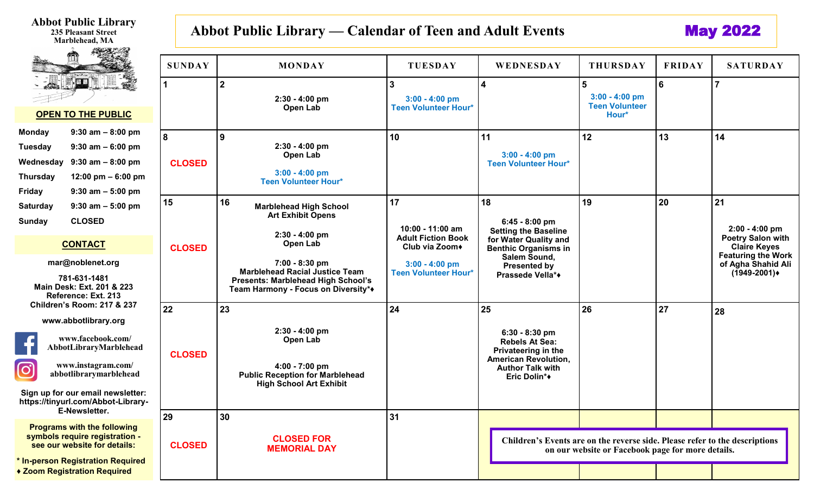**Abbot Public Library 235 Pleasant Street Marblehead, MA** 

 $\sigma_{\rm e}$  .

## Abbot Public Library — Calendar of Teen and Adult Events **May 2022**

|                                                                                                                                                                                                         | <b>SUNDAY</b>              | <b>MONDAY</b>                                                                                                                        | <b>TUESDAY</b>                                                    | WEDNESDAY                                                                                                                                        | <b>THURSDAY</b>                                                             | <b>FRIDAY</b>                                   | <b>SATURDAY</b>                                                           |
|---------------------------------------------------------------------------------------------------------------------------------------------------------------------------------------------------------|----------------------------|--------------------------------------------------------------------------------------------------------------------------------------|-------------------------------------------------------------------|--------------------------------------------------------------------------------------------------------------------------------------------------|-----------------------------------------------------------------------------|-------------------------------------------------|---------------------------------------------------------------------------|
| $\mathbb{I}$ . $\mathbb{Z}$<br><b>OPEN TO THE PUBLIC</b>                                                                                                                                                | -1                         | $\boldsymbol{2}$<br>$2:30 - 4:00$ pm<br>Open Lab                                                                                     | $\overline{3}$<br>$3:00 - 4:00$ pm<br><b>Teen Volunteer Hour*</b> | $\overline{\mathbf{4}}$                                                                                                                          | $5\phantom{1}$<br>$3:00 - 4:00$ pm<br><b>Teen Volunteer</b><br>Hour*        | 6                                               |                                                                           |
| $9:30$ am $-8:00$ pm<br><b>Monday</b><br><b>Tuesday</b><br>$9:30$ am $-6:00$ pm<br>Wednesday<br>$9:30$ am $-8:00$ pm<br><b>Thursday</b><br>12:00 pm $-6:00$ pm<br><b>Friday</b><br>$9:30$ am $-5:00$ pm | 8<br><b>CLOSED</b>         | 9<br>$2:30 - 4:00$ pm<br>Open Lab<br>$3:00 - 4:00$ pm<br><b>Teen Volunteer Hour*</b>                                                 | 10                                                                | 11<br>$3:00 - 4:00$ pm<br><b>Teen Volunteer Hour*</b>                                                                                            | 12                                                                          | 13                                              | 14                                                                        |
| <b>Saturday</b><br>$9:30$ am $-5:00$ pm<br><b>CLOSED</b><br><b>Sunday</b>                                                                                                                               | 15                         | 16<br><b>Marblehead High School</b><br><b>Art Exhibit Opens</b><br>$2:30 - 4:00$ pm<br>Open Lab                                      | 17<br>$10:00 - 11:00$ am<br><b>Adult Fiction Book</b>             | 18<br>$6:45 - 8:00$ pm<br><b>Setting the Baseline</b><br>for Water Quality and                                                                   | 19                                                                          | 20                                              | 21<br>$2:00 - 4:00$ pm<br><b>Poetry Salon with</b><br><b>Claire Keyes</b> |
| <b>CONTACT</b><br>mar@noblenet.org<br>781-631-1481<br>Main Desk: Ext. 201 & 223<br>Reference: Ext. 213                                                                                                  | <b>CLOSED</b>              | 7:00 - 8:30 pm<br><b>Marblehead Racial Justice Team</b><br>Presents: Marblehead High School's<br>Team Harmony - Focus on Diversity** | $3:00 - 4:00$ pm<br><b>Teen Volunteer Hour*</b>                   | Club via Zoom+<br><b>Benthic Organisms in</b><br>Salem Sound,<br><b>Presented by</b><br>Prassede Vella*+                                         |                                                                             | <b>Featuring the Work</b><br>of Agha Shahid Ali |                                                                           |
| <b>Children's Room: 217 &amp; 237</b><br>www.abbotlibrary.org<br>www.facebook.com/<br>AbbotLibraryMarblehead<br>www.instagram.com/<br>$\left[ \text{o}\right]$<br>abbotlibrarymarblehead                | 22<br><b>CLOSED</b>        | 23<br>$2:30 - 4:00$ pm<br>Open Lab<br>4:00 - 7:00 pm<br><b>Public Reception for Marblehead</b><br><b>High School Art Exhibit</b>     | 24                                                                | 25<br>$6:30 - 8:30$ pm<br><b>Rebels At Sea:</b><br>Privateering in the<br><b>American Revolution,</b><br><b>Author Talk with</b><br>Eric Dolin*+ | 26                                                                          | 27                                              | 28                                                                        |
| Sign up for our email newsletter:<br>https://tinyurl.com/Abbot-Library-<br>E-Newsletter.<br><b>Programs with the following</b><br>symbols require registration -<br>see our website for details:        | <b>29</b><br><b>CLOSED</b> | 30<br><b>CLOSED FOR</b>                                                                                                              | 31                                                                |                                                                                                                                                  | Children's Events are on the reverse side. Please refer to the descriptions |                                                 |                                                                           |
| * In-person Registration Required<br>◆ Zoom Registration Required                                                                                                                                       |                            | <b>MEMORIAL DAY</b>                                                                                                                  |                                                                   | on our website or Facebook page for more details.                                                                                                |                                                                             |                                                 |                                                                           |